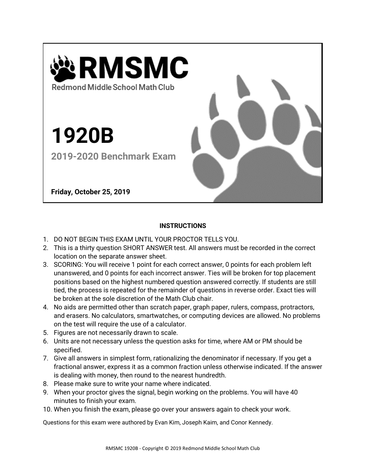

## **INSTRUCTIONS**

- 1. DO NOT BEGIN THIS EXAM UNTIL YOUR PROCTOR TELLS YOU.
- 2. This is a thirty question SHORT ANSWER test. All answers must be recorded in the correct location on the separate answer sheet.
- 3. SCORING: You will receive 1 point for each correct answer, 0 points for each problem left unanswered, and 0 points for each incorrect answer. Ties will be broken for top placement positions based on the highest numbered question answered correctly. If students are still tied, the process is repeated for the remainder of questions in reverse order. Exact ties will be broken at the sole discretion of the Math Club chair.
- 4. No aids are permitted other than scratch paper, graph paper, rulers, compass, protractors, and erasers. No calculators, smartwatches, or computing devices are allowed. No problems on the test will require the use of a calculator.
- 5. Figures are not necessarily drawn to scale.
- 6. Units are not necessary unless the question asks for time, where AM or PM should be specified.
- 7. Give all answers in simplest form, rationalizing the denominator if necessary. If you get a fractional answer, express it as a common fraction unless otherwise indicated. If the answer is dealing with money, then round to the nearest hundredth.
- 8. Please make sure to write your name where indicated.
- 9. When your proctor gives the signal, begin working on the problems. You will have 40 minutes to finish your exam.
- 10. When you finish the exam, please go over your answers again to check your work.

Questions for this exam were authored by Evan Kim, Joseph Kaim, and Conor Kennedy.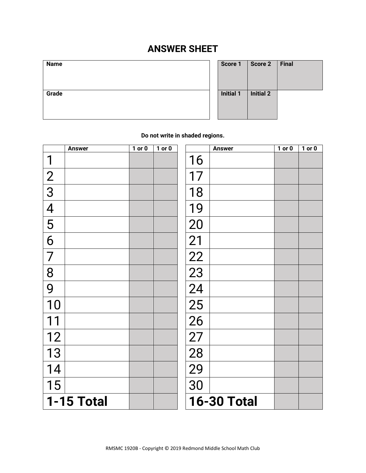## **ANSWER SHEET**

| наше  |  |  |
|-------|--|--|
| Grade |  |  |

| <b>Name</b> | Score 1          | Score 2          | Final |
|-------------|------------------|------------------|-------|
| Grade       | <b>Initial 1</b> | <b>Initial 2</b> |       |

**Do not write in shaded regions.**

|                | <b>Answer</b> | $1$ or $0$ | $1$ or $0$ |                    | <b>Answer</b> | $1$ or $0$ | $1$ or $0$ |
|----------------|---------------|------------|------------|--------------------|---------------|------------|------------|
| 1              |               |            |            | 16                 |               |            |            |
| $\frac{2}{3}$  |               |            |            | 17                 |               |            |            |
|                |               |            |            | 18                 |               |            |            |
| $\overline{4}$ |               |            |            | 19                 |               |            |            |
| 5              |               |            |            | 20                 |               |            |            |
| 6              |               |            |            | 21                 |               |            |            |
| 7              |               |            |            | 22                 |               |            |            |
| 8              |               |            |            | 23                 |               |            |            |
| 9              |               |            |            | 24                 |               |            |            |
| 10             |               |            |            | 25                 |               |            |            |
|                |               |            |            | 26                 |               |            |            |
| 12             |               |            |            | 27                 |               |            |            |
| 13             |               |            |            | 28                 |               |            |            |
| 14             |               |            |            | 29                 |               |            |            |
| 15             |               |            |            | 30                 |               |            |            |
|                | 1-15 Total    |            |            | <b>16-30 Total</b> |               |            |            |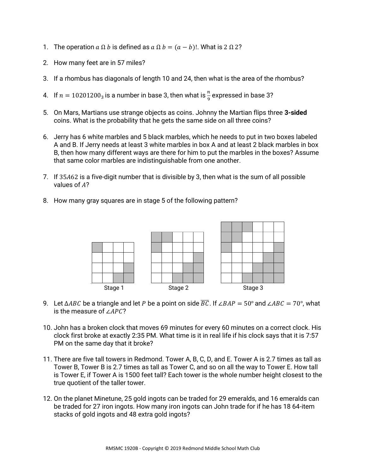- 1. The operation  $a \Omega b$  is defined as  $a \Omega b = (a b)!$ . What is  $2 \Omega 2$ ?
- 2. How many feet are in 57 miles?
- 3. If a rhombus has diagonals of length 10 and 24, then what is the area of the rhombus?
- 4. If  $n = 10201200_3$  is a number in base 3, then what is  $\frac{n}{9}$  expressed in base 3?
- 5. On Mars, Martians use strange objects as coins. Johnny the Martian flips three **3-sided** coins. What is the probability that he gets the same side on all three coins?
- 6. Jerry has 6 white marbles and 5 black marbles, which he needs to put in two boxes labeled A and B. If Jerry needs at least 3 white marbles in box A and at least 2 black marbles in box B, then how many different ways are there for him to put the marbles in the boxes? Assume that same color marbles are indistinguishable from one another.
- 7. If 35A62 is a five-digit number that is divisible by 3, then what is the sum of all possible values of  $A$ ?
- 8. How many gray squares are in stage 5 of the following pattern?



- 9. Let  $\triangle ABC$  be a triangle and let P be a point on side  $\overline{BC}$ . If ∠BAP = 50° and ∠ABC = 70°, what is the measure of  $∠APC$ ?
- 10. John has a broken clock that moves 69 minutes for every 60 minutes on a correct clock. His clock first broke at exactly 2:35 PM. What time is it in real life if his clock says that it is 7:57 PM on the same day that it broke?
- 11. There are five tall towers in Redmond. Tower A, B, C, D, and E. Tower A is 2.7 times as tall as Tower B, Tower B is 2.7 times as tall as Tower C, and so on all the way to Tower E. How tall is Tower E, if Tower A is 1500 feet tall? Each tower is the whole number height closest to the true quotient of the taller tower.
- 12. On the planet Minetune, 25 gold ingots can be traded for 29 emeralds, and 16 emeralds can be traded for 27 iron ingots. How many iron ingots can John trade for if he has 18 64-item stacks of gold ingots and 48 extra gold ingots?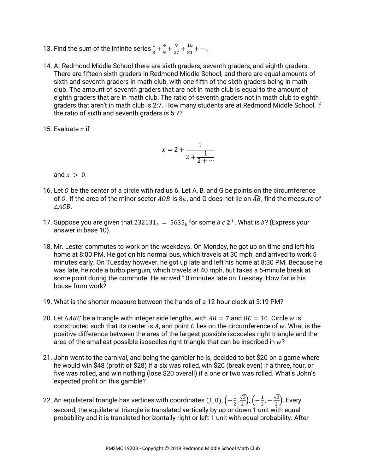- 13. Find the sum of the infinite series  $\frac{1}{3} + \frac{4}{9}$  $\frac{4}{9} + \frac{9}{27}$  $\frac{9}{27} + \frac{16}{81}$  $\frac{16}{81} + \cdots$ .
- 14. At Redmond Middle School there are sixth graders, seventh graders, and eighth graders. There are fifteen sixth graders in Redmond Middle School, and there are equal amounts of sixth and seventh graders in math club, with one-fifth of the sixth graders being in math club. The amount of seventh graders that are not in math club is equal to the amount of eighth graders that are in math club. The ratio of seventh graders not in math club to eighth graders that aren't in math club is 2:7. How many students are at Redmond Middle School, if the ratio of sixth and seventh graders is 5:7?
- 15. Evaluate  $x$  if

$$
x = 2 + \frac{1}{2 + \frac{1}{2 + \dots}}
$$

and  $x > 0$ .

- 16. Let  $\theta$  be the center of a circle with radius 6. Let A, B, and G be points on the circumference of 0. If the area of the minor sector AOB is  $8\pi$ , and G does not lie on  $\widehat{AB}$ , find the measure of  $\angle AGB$ .
- 17. Suppose you are given that 232131 $_4 = 5635_b$  for some  $b \in \mathbb{Z}^+$ . What is  $b$ ? (Express your answer in base 10).
- 18. Mr. Lester commutes to work on the weekdays. On Monday, he got up on time and left his home at 8:00 PM. He got on his normal bus, which travels at 30 mph, and arrived to work 5 minutes early. On Tuesday however, he got up late and left his home at 8:30 PM. Because he was late, he rode a turbo penguin, which travels at 40 mph, but takes a 5-minute break at some point during the commute. He arrived 10 minutes late on Tuesday. How far is his house from work?
- 19. What is the shorter measure between the hands of a 12-hour clock at 3:19 PM?
- 20. Let  $\triangle ABC$  be a triangle with integer side lengths, with  $AB = 7$  and  $BC = 10$ . Circle w is constructed such that its center is A, and point  $C$  lies on the circumference of  $w$ . What is the positive difference between the area of the largest possible isosceles right triangle and the area of the smallest possible isosceles right triangle that can be inscribed in  $w$ ?
- 21. John went to the carnival, and being the gambler he is, decided to bet \$20 on a game where he would win \$48 (profit of \$28) if a six was rolled, win \$20 (break even) if a three, four, or five was rolled, and win nothing (lose \$20 overall) if a one or two was rolled. What's John's expected profit on this gamble?
- 22. An equilateral triangle has vertices with coordinates (1, 0),  $\left(-\frac{1}{3}\right)$  $\frac{1}{2}, \frac{\sqrt{3}}{2}$  $\frac{\sqrt{3}}{2}$ ),  $\left(-\frac{1}{2}\right)$  $\frac{1}{2}$ ,  $-\frac{\sqrt{3}}{2}$  $\binom{3}{2}$ . Every second, the equilateral triangle is translated vertically by up or down 1 unit with equal probability and it is translated horizontally right or left 1 unit with equal probability. After